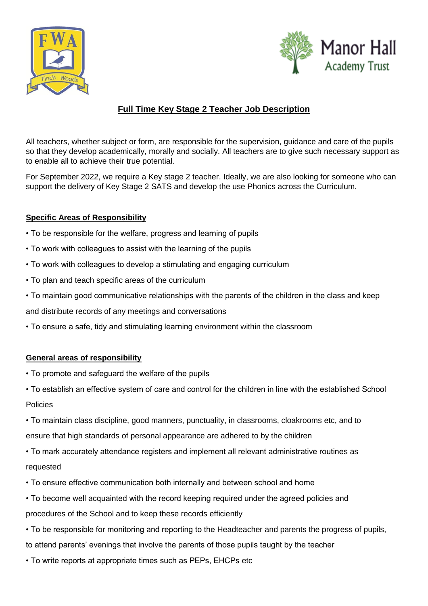



## **Full Time Key Stage 2 Teacher Job Description**

All teachers, whether subject or form, are responsible for the supervision, guidance and care of the pupils so that they develop academically, morally and socially. All teachers are to give such necessary support as to enable all to achieve their true potential.

For September 2022, we require a Key stage 2 teacher. Ideally, we are also looking for someone who can support the delivery of Key Stage 2 SATS and develop the use Phonics across the Curriculum.

## **Specific Areas of Responsibility**

- To be responsible for the welfare, progress and learning of pupils
- To work with colleagues to assist with the learning of the pupils
- To work with colleagues to develop a stimulating and engaging curriculum
- To plan and teach specific areas of the curriculum
- To maintain good communicative relationships with the parents of the children in the class and keep

and distribute records of any meetings and conversations

• To ensure a safe, tidy and stimulating learning environment within the classroom

## **General areas of responsibility**

- To promote and safeguard the welfare of the pupils
- To establish an effective system of care and control for the children in line with the established School **Policies**
- To maintain class discipline, good manners, punctuality, in classrooms, cloakrooms etc, and to ensure that high standards of personal appearance are adhered to by the children
- To mark accurately attendance registers and implement all relevant administrative routines as requested
- To ensure effective communication both internally and between school and home
- To become well acquainted with the record keeping required under the agreed policies and procedures of the School and to keep these records efficiently
- To be responsible for monitoring and reporting to the Headteacher and parents the progress of pupils, to attend parents' evenings that involve the parents of those pupils taught by the teacher
- To write reports at appropriate times such as PEPs, EHCPs etc